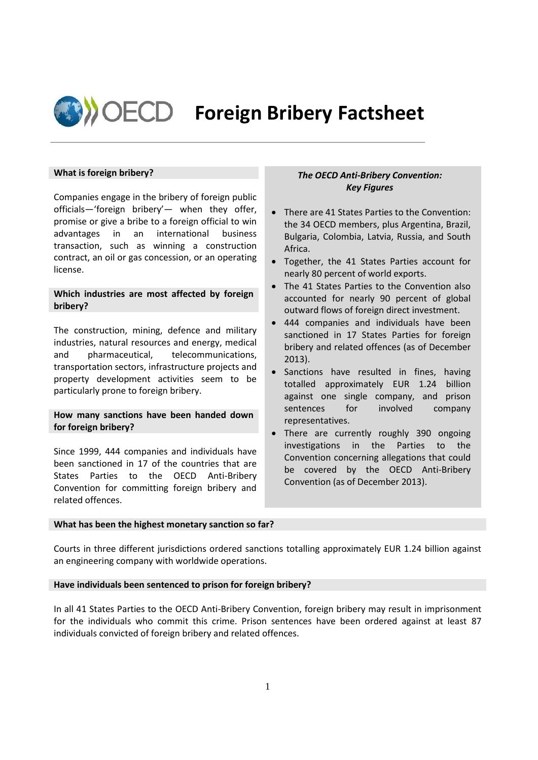

# **Foreign Bribery Factsheet**

# **What is foreign bribery?**

Companies engage in the bribery of foreign public officials—'foreign bribery'— when they offer, promise or give a bribe to a foreign official to win advantages in an international business transaction, such as winning a construction contract, an oil or gas concession, or an operating license.

# **Which industries are most affected by foreign bribery?**

The construction, mining, defence and military industries, natural resources and energy, medical and pharmaceutical, telecommunications, transportation sectors, infrastructure projects and property development activities seem to be particularly prone to foreign bribery.

## **How many sanctions have been handed down for foreign bribery?**

Since 1999, 444 companies and individuals have been sanctioned in 17 of the countries that are States Parties to the OECD Anti-Bribery Convention for committing foreign bribery and related offences.

# *The OECD Anti-Bribery Convention: Key Figures*

- There are 41 States Parties to the Convention: the 34 OECD members, plus Argentina, Brazil, Bulgaria, Colombia, Latvia, Russia, and South Africa.
- Together, the 41 States Parties account for nearly 80 percent of world exports.
- The 41 States Parties to the Convention also accounted for nearly 90 percent of global outward flows of foreign direct investment.
- 444 companies and individuals have been sanctioned in 17 States Parties for foreign bribery and related offences (as of December 2013).
- Sanctions have resulted in fines, having totalled approximately EUR 1.24 billion against one single company, and prison sentences for involved company representatives.
- There are currently roughly 390 ongoing investigations in the Parties to the Convention concerning allegations that could be covered by the OECD Anti-Bribery Convention (as of December 2013).

## **What has been the highest monetary sanction so far?**

Courts in three different jurisdictions ordered sanctions totalling approximately EUR 1.24 billion against an engineering company with worldwide operations.

#### **Have individuals been sentenced to prison for foreign bribery?**

In all 41 States Parties to the OECD Anti-Bribery Convention, foreign bribery may result in imprisonment for the individuals who commit this crime. Prison sentences have been ordered against at least 87 individuals convicted of foreign bribery and related offences.